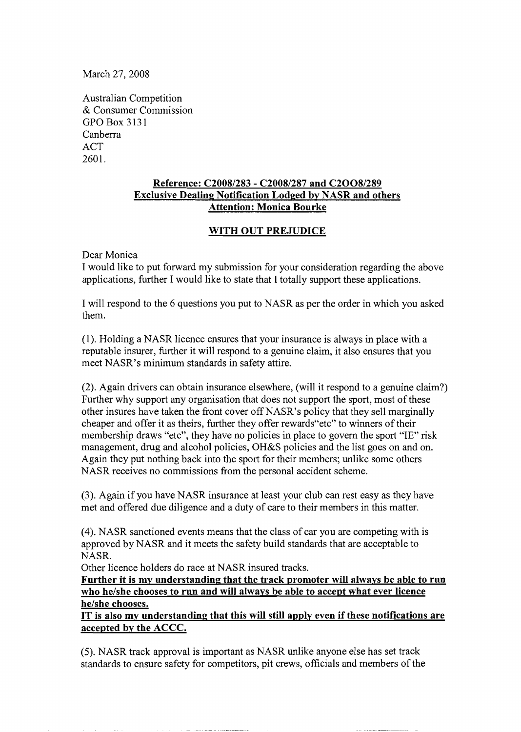March 27,2008

Australian Competition & Consumer Commission GPO Box 3131 Canberra ACT 2601.

## **Reference: C2008/283** - **C2008/287 and C2008/289 Exclusive Dealing Notification Lodged bv NASR and others Attention: Monica Bourke**

## **WITH OUT PREJUDICE**

Dear Monica

I would like to put forward my submission for your consideration regarding the above applications, further I would like to state that I totally support these applications.

I will respond to the 6 questions you put to NASR as per the order in which you asked them.

(1). Holding a NASR licence ensures that your insurance is always in place with a reputable insurer, further it will respond to a genuine claim, it also ensures that you meet NASR's minimum standards in safety attire.

(2). Again drivers can obtain insurance elsewhere, (will it respond to a genuine claim?) Further why support any organisation that does not support the sport, most of these other insures have taken the front cover off NASR's policy that they sell marginally cheaper and offer it as theirs, further they offer rewards"etc" to winners of their membership draws "etc", they have no policies in place to govern the sport "IE" risk management, drug and alcohol policies, OH&S policies and the list goes on and on. Again they put nothing back into the sport for their members; unlike some others NASR receives no commissions from the personal accident scheme.

(3). Again if you have NASR insurance at least your club can rest easy as they have met and offered due diligence and a duty of care to their members in this matter.

(4). NASR sanctioned events means that the class of car you are competing with is approved by NASR and it meets the safety build standards that are acceptable to NASR.

Other licence holders do race at NASR insured tracks.

Further it is my understanding that the track promoter will always be able to run **who he/she chooses to run and will alwavs be able to accept what ever licence he/she chooses.** 

**IT is also mv understanding that this will still apply even if these notifications are accepted bv the ACCC.** 

(5). NASR track approval is important as NASR unlike anyone else has set track standards to ensure safety for competitors, pit crews, officials and members of the